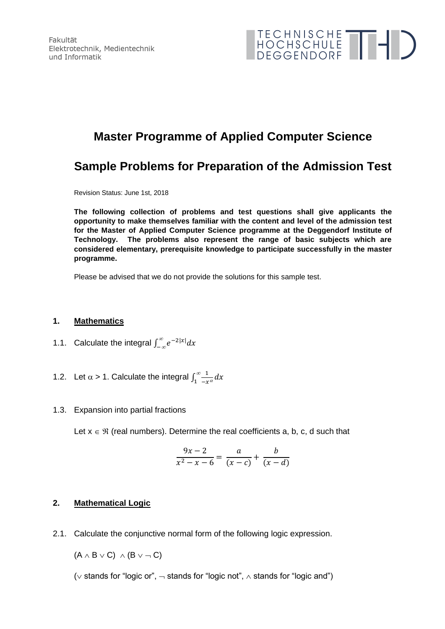Fakultät Elektrotechnik, Medientechnik und Informatik



# **Master Programme of Applied Computer Science**

## **Sample Problems for Preparation of the Admission Test**

Revision Status: June 1st, 2018

**The following collection of problems and test questions shall give applicants the opportunity to make themselves familiar with the content and level of the admission test for the Master of Applied Computer Science programme at the Deggendorf Institute of Technology. The problems also represent the range of basic subjects which are considered elementary, prerequisite knowledge to participate successfully in the master programme.**

Please be advised that we do not provide the solutions for this sample test.

#### **1. Mathematics**

- 1.1. Calculate the integral  $\int_{-\infty}^{\infty} e^{-2|x|} dx$
- 1.2. Let  $\alpha$  > 1. Calculate the integral  $\int_1^{\infty} \frac{1}{x}$  $-x^{\alpha}$  $\int_{1}^{\infty} \frac{1}{-x^{\alpha}} dx$
- 1.3. Expansion into partial fractions

Let  $x \in \mathcal{R}$  (real numbers). Determine the real coefficients a, b, c, d such that

$$
\frac{9x-2}{x^2-x-6} = \frac{a}{(x-c)} + \frac{b}{(x-d)}
$$

### **2. Mathematical Logic**

2.1. Calculate the conjunctive normal form of the following logic expression.

 $(A \wedge B \vee C) \wedge (B \vee \neg C)$ 

( $\vee$  stands for "logic or",  $\neg$  stands for "logic not",  $\wedge$  stands for "logic and")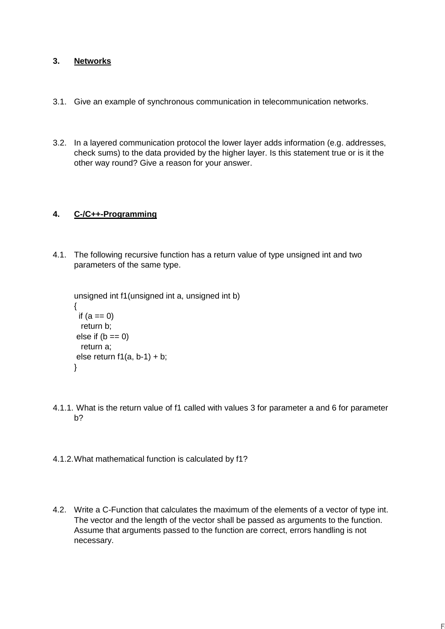### **3. Networks**

- 3.1. Give an example of synchronous communication in telecommunication networks.
- 3.2. In a layered communication protocol the lower layer adds information (e.g. addresses, check sums) to the data provided by the higher layer. Is this statement true or is it the other way round? Give a reason for your answer.

### **4. C-/C++-Programming**

4.1. The following recursive function has a return value of type unsigned int and two parameters of the same type.

```
unsigned int f1(unsigned int a, unsigned int b)
{
 if (a == 0) return b;
else if (b == 0) return a;
else return f1(a, b-1) + b;
}
```
- 4.1.1. What is the return value of f1 called with values 3 for parameter a and 6 for parameter b?
- 4.1.2.What mathematical function is calculated by f1?
- 4.2. Write a C-Function that calculates the maximum of the elements of a vector of type int. The vector and the length of the vector shall be passed as arguments to the function. Assume that arguments passed to the function are correct, errors handling is not necessary.